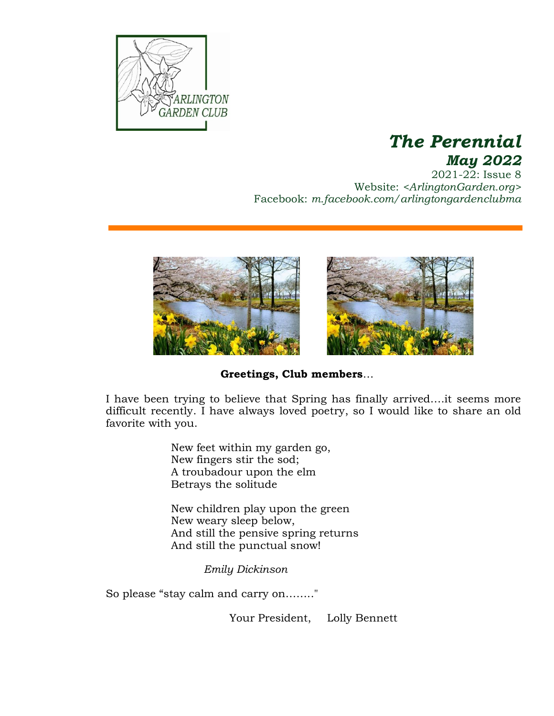

# *The Perennial May 2022*

2021-22: Issue 8 Website: *<ArlingtonGarden.org>* Facebook: *m.facebook.com/arlingtongardenclubma*



**Greetings, Club members**…

I have been trying to believe that Spring has finally arrived….it seems more difficult recently. I have always loved poetry, so I would like to share an old favorite with you.

> New feet within my garden go, New fingers stir the sod; A troubadour upon the elm Betrays the solitude

New children play upon the green New weary sleep below, And still the pensive spring returns And still the punctual snow!

*Emily Dickinson*

So please "stay calm and carry on…….."

Your President, Lolly Bennett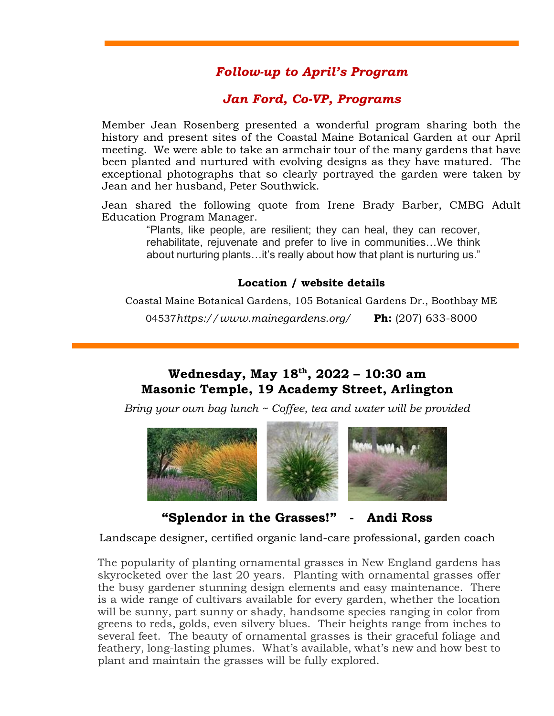# *Follow-up to April's Program*

# *Jan Ford, Co-VP, Programs*

Member Jean Rosenberg presented a wonderful program sharing both the history and present sites of the Coastal Maine Botanical Garden at our April meeting. We were able to take an armchair tour of the many gardens that have been planted and nurtured with evolving designs as they have matured. The exceptional photographs that so clearly portrayed the garden were taken by Jean and her husband, Peter Southwick.

Jean shared the following quote from Irene Brady Barber, CMBG Adult Education Program Manager.

> "Plants, like people, are resilient; they can heal, they can recover, rehabilitate, rejuvenate and prefer to live in communities…We think about nurturing plants…it's really about how that plant is nurturing us."

#### **Location / website details**

Coastal Maine Botanical Gardens, 105 Botanical Gardens Dr., Boothbay ME

04537*<https://www.mainegardens.org/>* **Ph:** (207) 633-8000

## **Wednesday, May 18 th, 2022 – 10:30 am Masonic Temple, 19 Academy Street, Arlington**

*Bring your own bag lunch ~ Coffee, tea and water will be provided*



**"Splendor in the Grasses!" - Andi Ross**

Landscape designer, certified organic land-care professional, garden coach

The popularity of planting ornamental grasses in New England gardens has skyrocketed over the last 20 years. Planting with ornamental grasses offer the busy gardener stunning design elements and easy maintenance. There is a wide range of cultivars available for every garden, whether the location will be sunny, part sunny or shady, handsome species ranging in color from greens to reds, golds, even silvery blues. Their heights range from inches to several feet. The beauty of ornamental grasses is their graceful foliage and feathery, long-lasting plumes. What's available, what's new and how best to plant and maintain the grasses will be fully explored.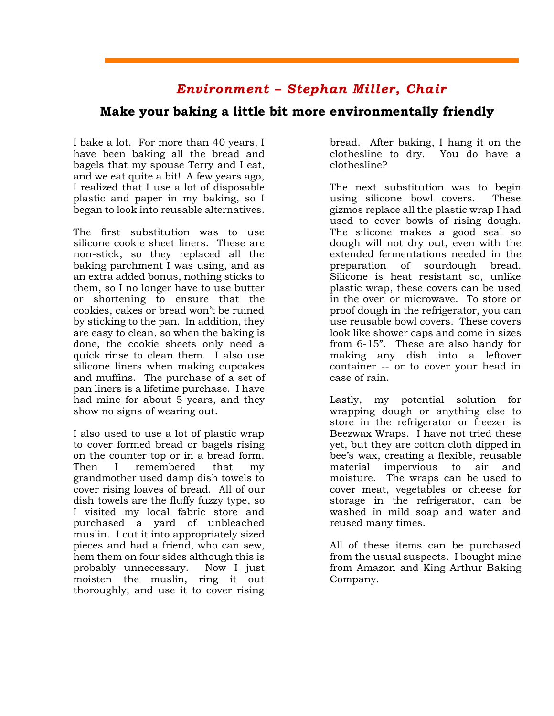### *Environment – Stephan Miller, Chair*

### **Make your baking a little bit more environmentally friendly**

I bake a lot. For more than 40 years, I have been baking all the bread and bagels that my spouse Terry and I eat, and we eat quite a bit! A few years ago, I realized that I use a lot of disposable plastic and paper in my baking, so I began to look into reusable alternatives.

The first substitution was to use silicone cookie sheet liners. These are non-stick, so they replaced all the baking parchment I was using, and as an extra added bonus, nothing sticks to them, so I no longer have to use butter or shortening to ensure that the cookies, cakes or bread won't be ruined by sticking to the pan. In addition, they are easy to clean, so when the baking is done, the cookie sheets only need a quick rinse to clean them. I also use silicone liners when making cupcakes and muffins. The purchase of a set of pan liners is a lifetime purchase. I have had mine for about 5 years, and they show no signs of wearing out.

I also used to use a lot of plastic wrap to cover formed bread or bagels rising on the counter top or in a bread form. Then I remembered that my grandmother used damp dish towels to cover rising loaves of bread. All of our dish towels are the fluffy fuzzy type, so I visited my local fabric store and purchased a yard of unbleached muslin. I cut it into appropriately sized pieces and had a friend, who can sew, hem them on four sides although this is probably unnecessary. Now I just moisten the muslin, ring it out thoroughly, and use it to cover rising bread. After baking, I hang it on the clothesline to dry. You do have a clothesline?

The next substitution was to begin using silicone bowl covers. These gizmos replace all the plastic wrap I had used to cover bowls of rising dough. The silicone makes a good seal so dough will not dry out, even with the extended fermentations needed in the preparation of sourdough bread. Silicone is heat resistant so, unlike plastic wrap, these covers can be used in the oven or microwave. To store or proof dough in the refrigerator, you can use reusable bowl covers. These covers look like shower caps and come in sizes from 6-15". These are also handy for making any dish into a leftover container -- or to cover your head in case of rain.

Lastly, my potential solution for wrapping dough or anything else to store in the refrigerator or freezer is Beezwax Wraps. I have not tried these yet, but they are cotton cloth dipped in bee's wax, creating a flexible, reusable material impervious to air and moisture. The wraps can be used to cover meat, vegetables or cheese for storage in the refrigerator, can be washed in mild soap and water and reused many times.

All of these items can be purchased from the usual suspects. I bought mine from Amazon and King Arthur Baking Company.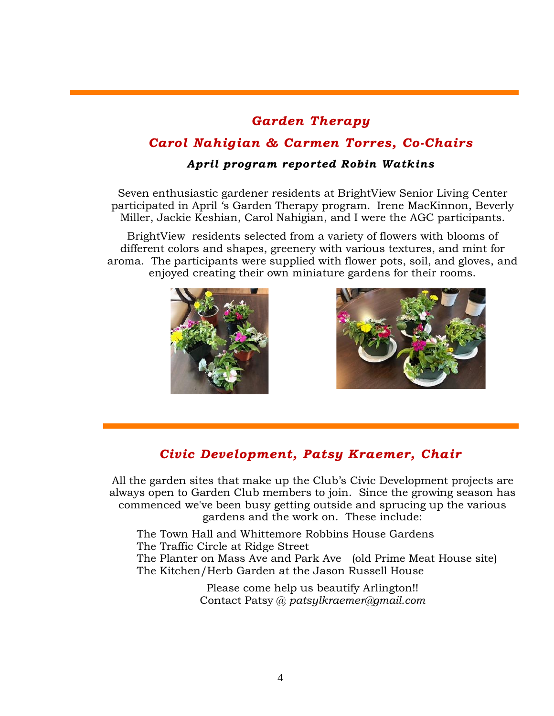# *Garden Therapy*

# *Carol Nahigian & Carmen Torres, Co-Chairs*

#### *April program reported Robin Watkins*

Seven enthusiastic gardener residents at BrightView Senior Living Center participated in April 's Garden Therapy program. Irene MacKinnon, Beverly Miller, Jackie Keshian, Carol Nahigian, and I were the AGC participants.

BrightView residents selected from a variety of flowers with blooms of different colors and shapes, greenery with various textures, and mint for aroma. The participants were supplied with flower pots, soil, and gloves, and enjoyed creating their own miniature gardens for their rooms.





# *Civic Development, Patsy Kraemer, Chair*

All the garden sites that make up the Club's Civic Development projects are always open to Garden Club members to join. Since the growing season has commenced we've been busy getting outside and sprucing up the various gardens and the work on. These include:

The Town Hall and Whittemore Robbins House Gardens The Traffic Circle at Ridge Street The Planter on Mass Ave and Park Ave (old Prime Meat House site) The Kitchen/Herb Garden at the Jason Russell House

> Please come help us beautify Arlington!! Contact Patsy @ *patsylkraemer@gmail.com*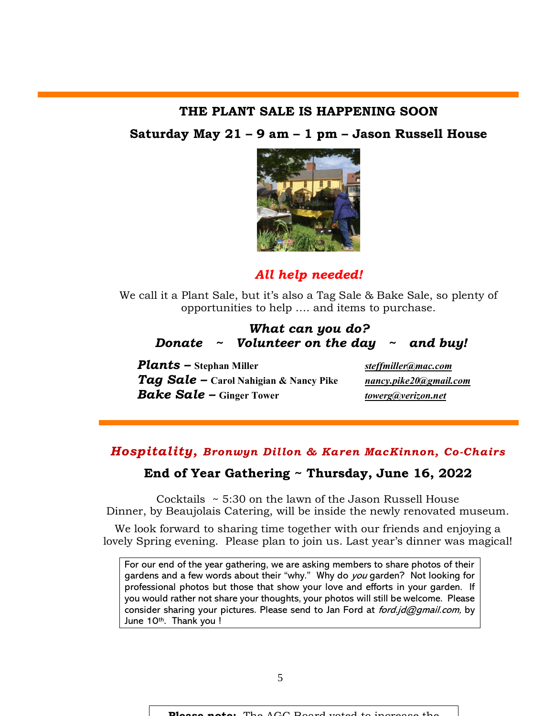#### **THE PLANT SALE IS HAPPENING SOON**

#### **Saturday May 21 – 9 am – 1 pm – Jason Russell House**



### *All help needed!*

We call it a Plant Sale, but it's also a Tag Sale & Bake Sale, so plenty of opportunities to help …. and items to purchase.

#### *What can you do? Donate ~ Volunteer on the day ~ and buy!*

*Plants –* **Stephan Miller** *[steffmiller@mac.com](mailto:steffmiller@mac.com) Tag Sale –* **Carol Nahigian & Nancy Pike** *[nancy.pike20@gmail.com](mailto:nancy.pike20@gmail.com) Bake Sale –* **Ginger Tower** *[towerg@verizon.net](mailto:towerg@verizon.net)*

### *Hospitality, Bronwyn Dillon & Karen MacKinnon, Co-Chairs*

### **End of Year Gathering ~ Thursday, June 16, 2022**

Cocktails ~ 5:30 on the lawn of the Jason Russell House Dinner, by Beaujolais Catering, will be inside the newly renovated museum.

We look forward to sharing time together with our friends and enjoying a lovely Spring evening. Please plan to join us. Last year's dinner was magical!

For our end of the year gathering, we are asking members to share photos of their gardens and a few words about their "why." Why do you garden? Not looking for professional photos but those that show your love and efforts in your garden. If you would rather not share your thoughts, your photos will still be welcome. Please consider sharing your pictures. Please send to Jan Ford at  $ford.jd@gmail.com$ , by June 10th. Thank you !